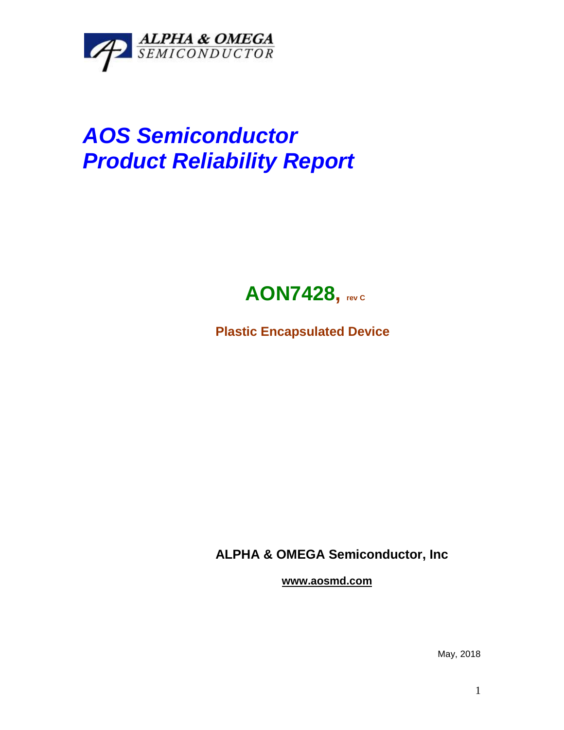

## *AOS Semiconductor Product Reliability Report*



**Plastic Encapsulated Device**

**ALPHA & OMEGA Semiconductor, Inc**

**www.aosmd.com**

May, 2018